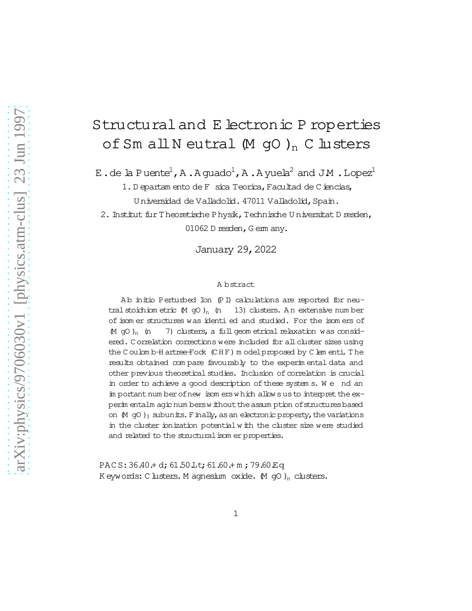# Structuraland E lectronic P roperties of Sm all N eutral  $(M$  gO  $)$ <sub>n</sub> C lusters

E.de la Puente<sup>1</sup>, A.A guado<sup>1</sup>, A.A yuela<sup>2</sup> and JM.Lopez<sup>1</sup>

1. D epartam ento de F sica Teorica, Facultad de Ciencias, Universidad de Valladolid. 47011 Valladolid, Spain.

2. Institut fur Theoretische Physik, Technische U niversitat D resden, 01062 D resden, G em any.

January 29,2022

#### A bstract

Ab initio Perturbed Ion (PI) calculations are reported for neutral stoichiom etric  $(M \ncong O)_n$  (n 13) clusters. A n extensive num ber of isom er structures was identied and studied. For the isom ers of  $(M$  gO )<sub>n</sub> (n 7) clusters, a full geom etrical relaxation was considered. C orrelation corrections were included for allcluster sizes using the C oulom b-H artree-Fock (CHF) m odelproposed by C lem enti. The results obtained com pare favourably to the experim ental data and other previous theoretical studies. Inclusion of correlation is crucial in order to achieve a good description of these system s. We nd an im portant num ber of new isom ers w hich allow sus to interpret the experim entalm agic num bersw ithout the assum ption of structures based on  $(M \nightharpoonup Q)$ <sub>3</sub> subunits. Finally, as an electronic property, the variations in the cluster ionization potentialw ith the cluster size were studied and related to the structural isom er properties.

PACS: 36.40.+ d; 61.50 Lt; 61.60.+ m; 79.60 Eq K eywords: C lusters. M agnesium oxide.  $(M \nightharpoondown Q)$ <sub>n</sub> clusters.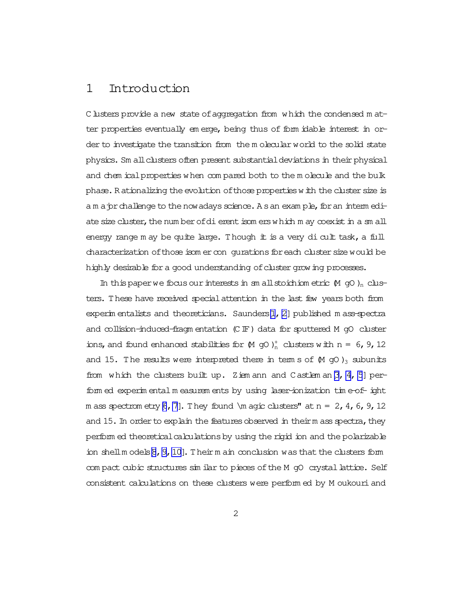## 1 Introduction

C lusters provide a new state of aggregation from which the condensed m atter properties eventually em erge, being thus of form idable interest in order to investigate the transition from the m olecular world to the solid state physics. Sm all clusters often present substantial deviations in their physical and chem ical properties when com pared both to the m olecule and the bulk phase. R ationalizing the evolution of those properties with the cluster size is a m a pr challenge to the now adays science. A s an exam ple, for an interm ediate size cluster, the num ber of dierent isom ers which m ay coexist in a sm all energy range m ay be quite large. Though it is a very dicult task, a full characterization of those isom er con gurations for each cluster size would be highly desirable for a good understanding of cluster growing processes.

In this paper we focus our interests in sm all stoichiom etric  $(M$  gO  $)$ <sub>n</sub> clusters. These have received specialattention in the last few years both from experim entalists and theoreticians. Saunders[\[1](#page-19-0), [2\]](#page-19-0) published m ass-spectra and collision-induced-fragm entation (CIF) data for sputtered M gO cluster ions, and found enhanced stabilities for  $(M$  gO  $)_{n}^{+}$  clusters with n = 6, 9, 12 and 15. The results were interpreted there in term s of  $(M \nvert g)$  subunits from which the clusters built up. Ziem ann and Castlem an  $[3, 4, 5]$  $[3, 4, 5]$  $[3, 4, 5]$  $[3, 4, 5]$  perform ed experim ental m easurem ents by using laser-ionization tim e-ofight m ass spectrom etry [\[6](#page-20-0), [7](#page-20-0)]. They found \m agic clusters" at  $n = 2, 4$ , 6, 9, 12 and 15. In order to explain the features observed in theirm ass spectra, they perform ed theoretical calculations by using the rigid ion and the polarizable ion shellm odels $\beta$ , 9, 10]. Their m ain conclusion was that the clusters form com pact cubic structures sim ilar to pieces of the M gO crystal lattice. Self consistent calculations on these clusters were perform ed by M oukouriand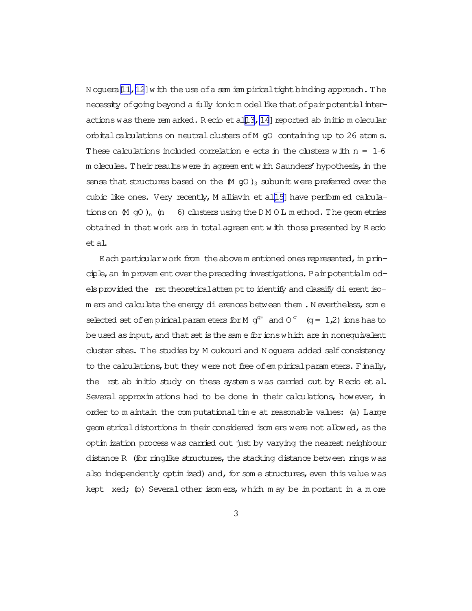N oquera [11, 12] with the use of a sem iem pirical tight binding approach. The necessity of going beyond a fully ionic m odel like that of pair potential interactions was there rem arked. R ecio et al[13, 14] reported ab initio m olecular orbital calculations on neutral clusters of M gO containing up to 26 atom s. These calculations included correlation e ects in the clusters with  $n = 1-6$ m olecules. Their results were in agreem ent with Saunders' hypothesis, in the sense that structures based on the  $(M \text{ gO})_3$  subunit were preferred over the cubic like ones. Very recently, M alliavin et al[\[15\]](#page-20-0) have perform ed calculations on  $(M \text{ gO})_n$  (n 6) clusters using the D M O L m ethod. The geom etries obtained in thatwork are in totalagreem ent with those presented by R ecio etal.

Each particular work from the above m entioned ones represented, in principle, an im provem ent over the preceding investigations. Pair potentialm odels provided the rst theoretical attem pt to identify and classify dierentisom ers and calculate the energy dierences between them . N evertheless, som e selected set of empirical param eters for M  $q^{q+}$  and  $0^q$  (q = 1,2) ions has to beused as input, and that set is the same for ions which are in nonequivalent cluster sites. The studies by M oukouri and N oguera added self consistency to the calculations, but they were not free of em pirical param eters. Finally, the rst ab initio study on these system s was carried out by Recio et al. Several approxim ations had to be done in their calculations, however, in order to m aintain the computational time at reasonable values: (a) Large geom etrical distortions in their considered isom ers were not allowed, as the optim ization process was carried out just by varying the nearest neighbour distance R (for ringlike structures, the stacking distance between rings was also independently optim ized) and, for some structures, even this value was kept  $xed$ ; (b) Several other isom ers, which m ay be important in a m ore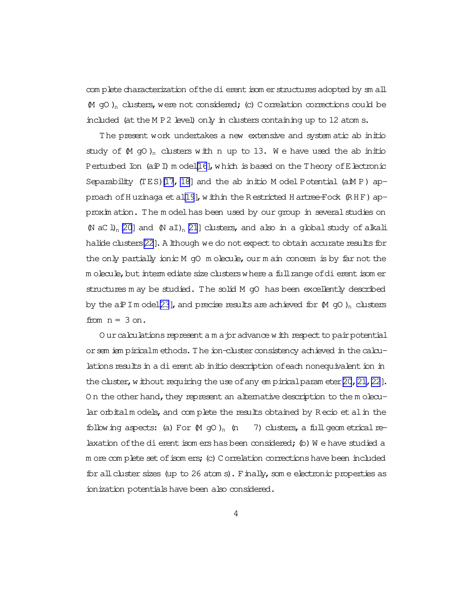com plete characterization of the dierentisom er structures adopted by sm all  $(M$  gO)<sub>n</sub> clusters, were not considered; (c) Correlation corrections could be included (at the M P 2 level) only in clusters containing up to 12 atom s.

The present work undertakes a new extensive and system atic ab initio study of  $(M \text{ gO})_n$  clusters with n up to 13. We have used the ab initio Perturbed Ion (aiPI) m ode[l\[16](#page-20-0)], which is based on the Theory of Electronic Separability  $(TES)[17, 18]$  $(TES)[17, 18]$  $(TES)[17, 18]$  $(TES)[17, 18]$  and the ab initio M odel Potential (aM P) ap-proach of Huzinaga et al[\[19\]](#page-20-0), within the R estricted H artree-Fock  $(R HF)$  approxim ation. The m odelhas been used by our group in severalstudies on (N aC l)<sub>n</sub> [\[20\]](#page-21-0) and (N aI)<sub>n</sub> [\[21](#page-21-0)] clusters, and also in a global study of alkali halide clusters[\[22\]](#page-21-0). A lthough we do not expect to obtain accurate results for the only partially ionic M q0 m olecule, our m ain concern is by far not the m olecule, but interm ediate size clusters where a full range of dierentisom er structures m ay be studied. The solid M gO has been excellently described by the aiPIm ode[l\[23](#page-21-0)], and precise results are achieved for  $(M \nightharpoondown Q)$ <sub>n</sub> clusters from  $n = 3$  on.

O urcalculations represent a m a pr advance with respect to pair potential orsem iem piricalm ethods.The ion-clusterconsistency achieved in the calculations results in a dierent ab initio description of each nonequivalent ion in the cluster, without requiring the use of any em pirical param eter  $[20, 21, 22]$ . On the other hand, they represent an alternative description to the m olecular orbitalm odels, and com plete the results obtained by R ecio et alin the following aspects: (a) For  $(M \text{ gO})_n$  (n  $(7)$  clusters, a full geom etrical relaxation of the dierent isom ershasbeen considered;  $\phi$ ) W e have studied a m ore com plete set of isom ers; (c) Correlation corrections have been included for all cluster sizes (up to 26 atom s). Finally, some electronic properties as ionization potentialshave been also considered.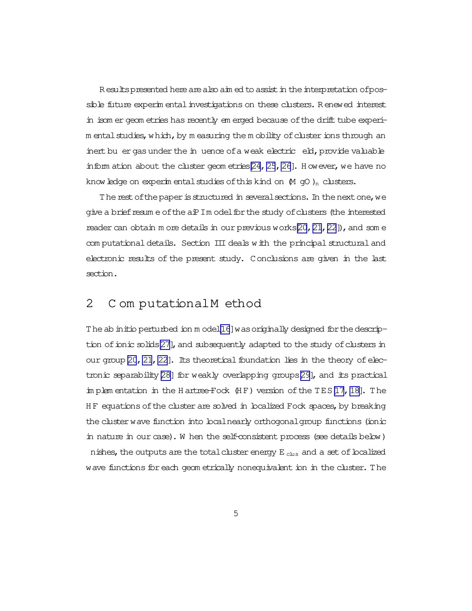R esults presented here are also aim ed to assist in the interpretation of possible future experim entalinvestigations on these clusters. R enewed interest in isom er geom etries has recently em erged because ofthe drift tube experim ental studies, which, by m easuring the m obility of cluster ions through an inert bu er gas under the in uence of a weak electric eld, provide valuable inform ation about the cluster geom etries  $[24, 25, 26]$  $[24, 25, 26]$  $[24, 25, 26]$ . H owever, we have no know ledge on experim ental studies of this kind on  $(M \text{ gO})_n$  clusters.

The rest of the paper is structured in several sections. In the next one, we give a brief resum e of the aiP Im odel for the study of clusters (the interested reader can obtain m ore details in our previous works $[20, 21, 22]$  $[20, 21, 22]$  $[20, 21, 22]$  $[20, 21, 22]$  $[20, 21, 22]$  $[20, 21, 22]$ ), and som e com putational details. Section III deals with the principal structural and electronic results of the present study. Conclusions are given in the last section.

## 2 C om putational M ethod

The ab initio perturbed ion m ode[l\[16](#page-20-0)] was originally designed for the descrip-tion of ionic solids[\[27\]](#page-21-0), and subsequently adapted to the study of clusters in our group  $[20, 21, 22]$  $[20, 21, 22]$  $[20, 21, 22]$  $[20, 21, 22]$  $[20, 21, 22]$ . Its theoretical foundation lies in the theory of electronic separability  $[28]$  for weakly overlapping groups $[29]$ , and its practical im plem entation in the H artree-Fock  $(HF)$  version of the TES [\[17](#page-20-0), [18\]](#page-20-0). The HF equations of the cluster are solved in localized Fock spaces, by breaking the cluster wave function into localnearly orthogonalgroup functions (ionic in nature in our case). W hen the self-consistent process (see details below) nishes, the outputs are the total cluster energy  $E_{\text{clus}}$  and a set of boalized wave functions for each geom etrically nonequivalent ion in the cluster. The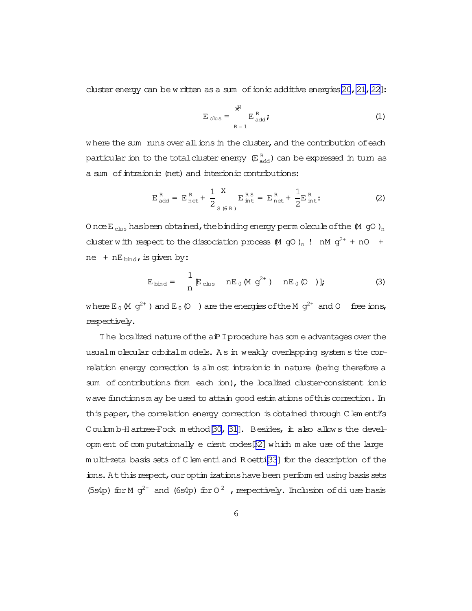cluster energy can be written as a sum of ionic additive energies  $[20, 21, 22]$ :

$$
E_{\text{clus}} = \sum_{R=1}^{X^N} E_{\text{add}}^R;
$$
 (1)

where the sum runs over all ions in the cluster, and the contribution ofeach particular ion to the total cluster energy  $\, \mathbb{E}^{\, \rm R}_{\, \rm add} \,$ ) can be expressed in turn as a sum of intraionic (net) and interionic contributions:

$$
E_{\text{add}}^R = E_{\text{net}}^R + \frac{1}{2} \sum_{S \text{ (6 R)}}^{X} E_{\text{int}}^{RS} = E_{\text{net}}^R + \frac{1}{2} E_{\text{int}}^R
$$
 (2)

O nce  $E_{\text{clus}}$  has been obtained, the binding energy perm olecule of the  $(M$  gO  $)_n$ cluster with respect to the dissociation process  $(M$  gO  $)_n$  ! nM  $g^{2+}$  + nO + ne +  $nE_{bind}$ , is given by:

$$
E_{\text{bind}} = \frac{1}{n} E_{\text{clus}} \text{ nE}_0 \text{ (M g}^{2+}) \text{ nE}_0 \text{ (O)};
$$
 (3)

where  $E_0(M q^{2+})$  and  $E_0(0)$  are the energies of the M  $q^{2+}$  and O free ions, respectively.

The localized nature of the aiP I procedure has som e advantages over the usualm olecular orbitalm odels. As in weakly overlapping system s the correlation energy correction is alm ost intraionic in nature (being therefore a sum of contributions from each ion), the localized cluster-consistent ionic wave functionsm ay be used to attain good estim ations of this correction. In this paper, the correlation energy correction is obtained through Clem enti's Coulom b-H artree-Fock m ethod [\[30](#page-21-0), [31\]](#page-21-0). Besides, it also allows the devel-opm ent of com putationally e cient codes[\[32\]](#page-22-0) which m ake use of the large m ulti-zeta basis sets of C lem enti and R oett[i\[33](#page-22-0)] for the description of the ions. At this respect, our optim izations have been perform ed using basis sets (5s4p) for M  $g^{2+}$  and (6s4p) for  $O^2$ , respectively. Inclusion of diuse basis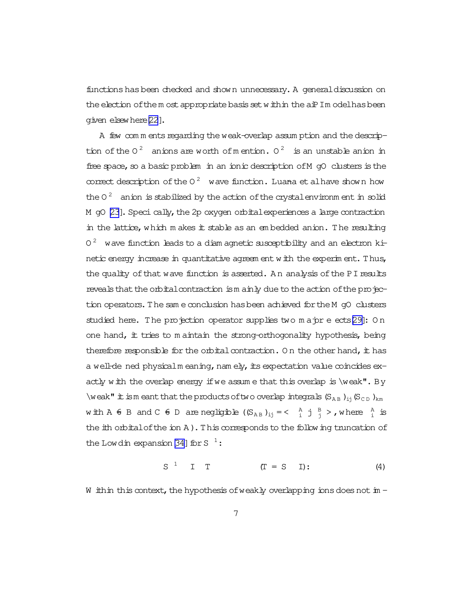functionshasbeen checked and shown unnecessary. A generaldiscussion on the election of them ost appropriate basis set within the aiPIm odelhas been given elsewhere[\[22](#page-21-0)].

A few com m ents regarding the weak-overlap assum ption and the description of the 0<sup>2</sup> anions are worth of mention.  $0^2$  is an unstable anion in free space, so a basic problem in an ionic description of M gO clusters is the correct description of the  $0^2$  wave function. Luana et alhave shown how the 0 $^2$  anion is stabilized by the action of the crystal environm ent in solid M gO [\[23](#page-21-0)]. Speci cally, the 2p oxygen orbital experiences a large contraction in the lattice,which m akes it stable as an em bedded anion. The resulting 0  $^2$  wave function leads to a diam agnetic susceptibility and an electron kinetic energy increase in quantitative agreem ent with the experim ent. Thus, the quality of that wave function is asserted. An analysis of the PI results reveals that the orbital contraction is m ainly due to the action of the projection operators.The sam e conclusion hasbeen achieved fortheM gO clusters studied here. The projection operator supplies two major e ects[\[29\]](#page-21-0): On one hand,  $#$  tries to m aintain the strong-orthogonality hypothesis, being therefore responsible for the orbital contraction. On the other hand, it has a well-de ned physicalm eaning, nam ely, its expectation value coincides  $ex$ actly with the overlap energy if we assume that this overlap is  $\wedge$  weak". By \weak" it is meant that the products of two overlap integrals  $(S_{AB})_{ii}(S_{CD})_{km}$ with  $A \oplus B$  and  $C \oplus D$  are negligible  $(S_{AB})_{ij} = \langle A_{ij} \oplus B_{ij} \rangle$ , where  $A_{ij} \oplus B_{ij}$ the ith orbital of the ion A). This corresponds to the following truncation of the Lowdin expansion [\[34\]](#page-22-0) for S  $^{-1}$ :

$$
S1 I T (T = S I): (4)
$$

W ithin this context, the hypothesis of weakly overlapping ions does not in  $-$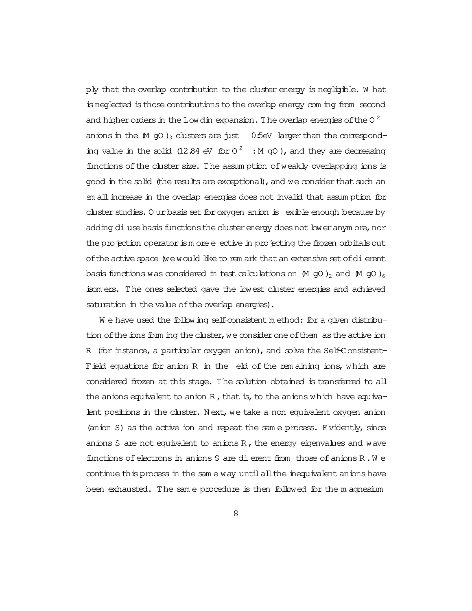ply that the overlap contribution to the cluster energy is negligible. W hat isneglected isthose contributionsto the overlap energy com ing from second and higher orders in the Low din expansion. The overlap energies of the O  $^2$ anions in the  $(M \text{ qO})_3$  clusters are just 0:5eV larger than the corresponding value in the solid (12.84 eV for  $0^2$  : M gO), and they are decreasing functions of the cluster size. The assumption of weakly overlapping ions is good in the solid (the results are exceptional), and we consider that such an sm allincrease in the overlap energies does not invalid that assum ption for cluster studies. O ur basis set for oxygen anion is exible enough because by adding diuse basis functions the cluster energy does not lower anym ore, nor the projection operator is m ore e ective in projecting the frozen orbitals out of the active space (we would like to rem ark that an extensive set of dierent basis functions was considered in test calculations on  $(M \nvert qO)_2$  and  $(M \nvert qO)_6$ isom ers. The ones selected gave the lowest cluster energies and achieved saturation in the value of the overlap energies).

W e have used the following self-consistent method: for a given distribution of the ions form ing the cluster, we consider one of them as the active ion R (for instance, a particular oxygen anion), and solve the Self-Consistent-Field equations for anion R in the eld of the remaining ions, which are considered frozen at this stage. The solution obtained is transferred to all the anions equivalent to anion  $R$ , that is, to the anions which have equivalent positions in the cluster. Next, we take a non equivalent oxygen anion (anion S) as the active ion and repeat the sam e process. Evidently, since anions S are not equivalent to anions  $R$ , the energy eigenvalues and wave functions of electrons in anions S are dierent from those of anions R.W e continue this process in the sam e way untilallthe inequivalent anions have been exhausted. The sam e procedure is then followed for the m agnesium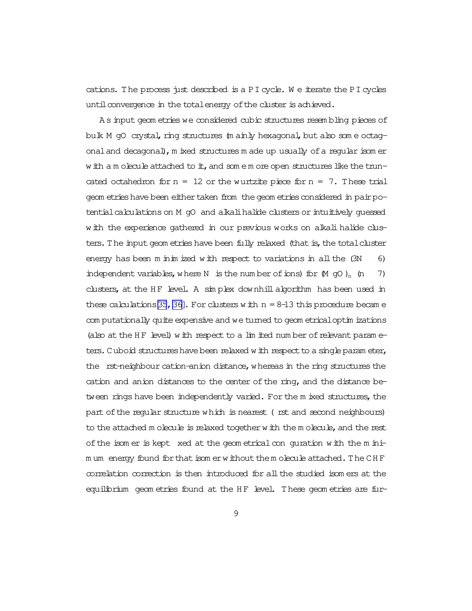cations. The process just described is a PI cycle. W e iterate the PI cycles until convergence in the total energy of the cluster is achieved.

A s input geom etries we considered cubic structures resem bling pieces of bulk M gO crystal, ring structures (m ainly hexagonal, but also som e octagonaland decagonal),m ixed structures m ade up usually ofa regular isom er w ith a m olecule attached to it, and som  $e$  m ore open structures like the truncated octahedron for  $n = 12$  or the wurtz it piece for  $n = 7$ . These trial geom etrieshave been eithertaken from thegeom etriesconsidered in pairpotential calculations on M gO and alkalihalide clusters or intuitively guessed with the experience gathered in our previous works on alkalihalide clusters. The input geom etries have been fully relaxed (that is, the total cluster energy has been m inim ized with respect to variations in all the (3N 6) independent variables, where N is the num ber of ions) for  $(M \cap \mathcal{O})_n$  (n 7) clusters, at the HF level. A simplex downhill algorithm has been used in these calculations [\[35](#page-22-0), [36\]](#page-22-0). For clusters with  $n = 8-13$  this procedure became com putationally quite expensive and we turned to geom etricaloptim izations (also at the HF level) with respect to a lim ited num ber of relevant param  $e$ ters. Cuboid structures have been relaxed with respect to a single param eter, the rst-neighbour cation-anion distance, whereas in the ring structures the cation and anion distances to the center of the ring, and the distance between rings have been independently varied. For the m ixed structures, the part of the regular structure which is nearest (rst and second neighbours) to the attached m olecule is relaxed together with the m olecule, and the rest of the isom er is kept xed at the geom etrical con quration with the m inim um energy found for that isom erwithout the m olecule attached. The CHF correlation correction is then introduced for allthe studied isom ers at the equilibrium geom etries found at the HF level. These geom etries are fur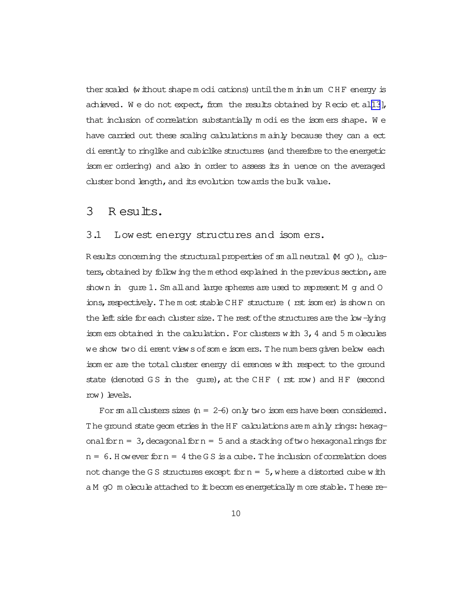ther scaled (without shape m odi cations) until the m inim um CHF energy is achieved. We do not expect, from the results obtained by R ecio et al $[13]$  $[13]$ , that inclusion of correlation substantially  $m$  odies the isomers shape. We have carried out these scaling calculations m ainly because they can a ect di erently to ringlike and cubiclike structures (and therefore to the energetic isom er ordering) and also in order to assess its in
uence on the averaged cluster bond length, and its evolution towards the bulk value.

#### 3 R esults.

#### 3.1 Low est energy structures and isom ers.

R esults concerning the structural properties of sm all neutral  $(M$  gO  $)$ <sub>n</sub> clusters, obtained by following the m ethod explained in the previous section, are shown in quie  $1$ . Sm alland large spheres are used to represent M q and O ions, respectively. The m ost stable CHF structure (rst isom er) is shown on the left side for each cluster size. The rest of the structures are the low-lying isom ers obtained in the calculation. For clusters with 3,4 and 5 m olecules we show two dierent views of some isom ers. The num bers given below each isom er are the total cluster energy di erences with respect to the ground state (denoted GS in the qure), at the CHF ( $rst$  row) and HF (second row) levels.

For sm all clusters sizes  $(n = 2-6)$  only two isom ers have been considered. The ground state geom etries in the HF calculations are m ainly rings: hexagonalforn =  $3$ , decagonalforn =  $5$  and a stacking of two hexagonalrings for  $n = 6$ . However for  $n = 4$  the GS is a cube. The inclusion of correlation does not change the G S structures except for  $n = 5$ , where a distorted cube with a M gO m olecule attached to it becom es energetically m ore stable. These re-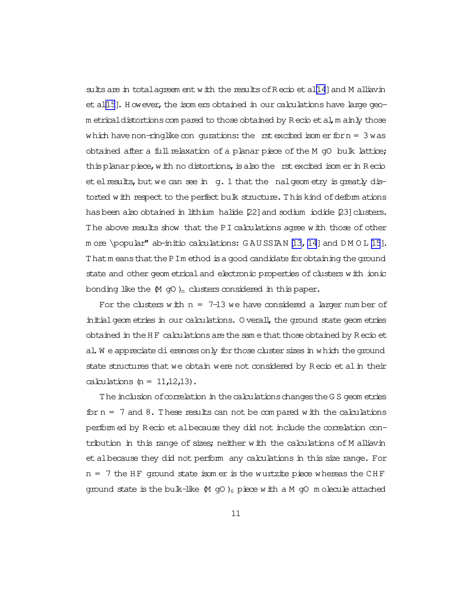sults are in total agreem entwith the results of  $R$  ecio et al[\[14](#page-20-0)] and M alliavin et al $[15]$  $[15]$ . H owever, the isom ers obtained in our calculations have large geom etrical distortions com pared to those obtained by R ecio et al, m ainly those which have non-ringlike con qurations: the rst excited isom er for  $n = 3$  was obtained after a full relaxation of a planar piece of the M  $qO$  bulk lattice; this planar piece, with no distortions, is also the rst excited isom er in R ecio et el results, but we can see in g. 1 that the nalgeom etry is greatly distorted with respect to the perfect bulk structure. This kind of deform ations has been also obtained in lithium halide [22] and sodium iodide [23] clusters. The above results show that the PI calculations agree with those of other m ore \popular" ab-initio calculations:  $G \land U \subseteq I$ , 14] and  $D \land O \subseteq I$ 5]. Thatm eans that the PIm ethod is a good candidate for obtaining the ground state and other geom etrical and electronic properties of clusters with ionic bonding like the  $(M \text{ go})_n$  clusters considered in this paper.

For the clusters with  $n = 7-13$  we have considered a larger number of initial geom etries in our calculations. O verall, the ground state geom etries obtained in theH F calculationsarethesam ethatthoseobtained by R ecio et al. W e appreciate dierences only for those cluster sizes in which the ground state structures that we obtain were not considered by R ecio et alin their calculations  $(n = 11,12,13)$ .

The inclusion of correlation in the calculations changes the G S geom etries for  $n = 7$  and  $8$ . These results can not be compared with the calculations perform ed by R ecio etalbecause they did not include the correlation contribution in this range of sizes; neither with the calculations of M alliavin et albecause they did not perform any calculations in this size range. For  $n = 7$  the HF ground state isom er is the wurtzite piece whereas the CHF ground state is the bulk-like  $(M \nsubseteq Q)$ <sub>6</sub> piece with a M gO m olecule attached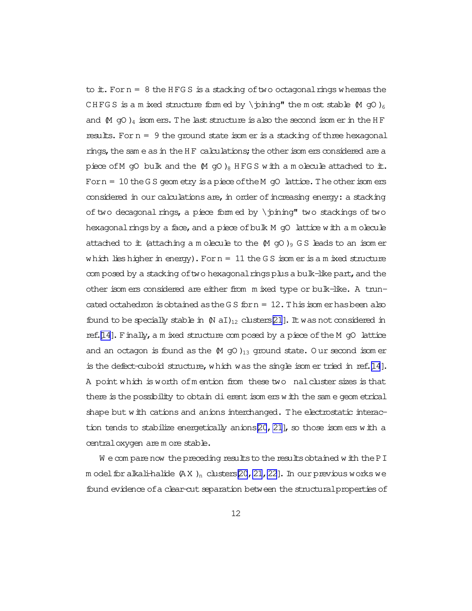to  $\pm$ . Forn = 8 the HFGS is a stacking of two octagonal rings whereas the CHFGS is a m ixed structure form ed by \pining" the m ost stable  $(M \text{ qO})_6$ and  $(M$  gO  $)_4$  isom ers. The last structure is also the second isom er in the HF results. For  $n = 9$  the ground state isom er is a stacking of three hexagonal rings, the sam e as in the H F calculations; the other isom ers considered are a piece of M gO bulk and the  $(M \cap G)$ <sub>8</sub> HFG S with a m olecule attached to it. Forn  $=$  10 the GS geom etry is a piece of the M gO lattice. The other isomers considered in our calculations are, in order of increasing energy: a stacking of two decagonal rings, a piece form ed by  $\phi'$  two stackings of two hexagonal rings by a face, and a piece of bulk  $M$  gO lattice with a m olecule attached to it (attaching a m olecule to the  $(M \nvert q)$  GS leads to an isom er which lieshigher in energy). For  $n = 11$  the GS isom er is a m ixed structure com posed by a stacking of two hexagonal rings plus a bulk-like part, and the other isom ers considered are either from m ixed type or bulk-like. A truncated octahedron is obtained as the G S for  $n = 12$ . This isom erhas been also found to be specially stable in  $(N aI)_{12}$  clusters [\[21](#page-21-0)]. It was not considered in ref. $[14]$ . Finally, a m ixed structure com posed by a piece of the M gO lattice and an octagon is found as the  $(M \text{ go } )_{13}$  ground state. Our second isom er is the defect-cuboid structure, which was the single isom er tried in ref[.\[14](#page-20-0)]. A point which is worth ofm ention from these two nalcluster sizes is that there is the possibility to obtain dierent isom erswith the same geom etrical shape but with cations and anions interchanged. The electrostatic interaction tends to stabilize energetically anions  $[20, 21]$  $[20, 21]$  $[20, 21]$ , so those isom ers with a centraloxygen are m ore stable.

We comparenow the preceding results to the results obtained with the PI m odel for alkali-halide  $(X \cap n)$  clusters  $[20, 21, 22]$ . In our previous works we found evidence of a clear-cut separation between the structural properties of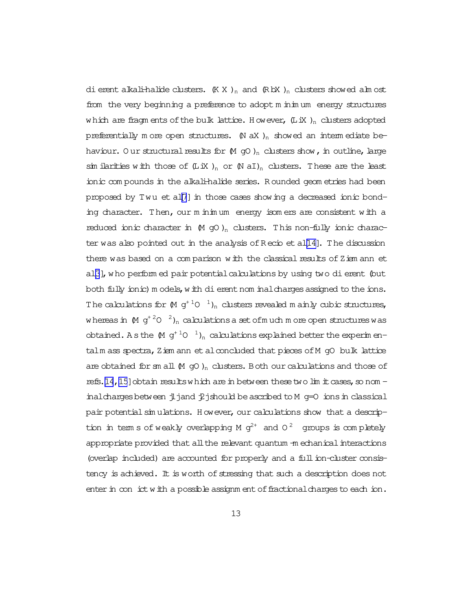dierent alkali-halide clusters.  $(K X)_n$  and  $(R \boxtimes )_n$  clusters showed alm ost from the very beginning a preference to adopt m inim um energy structures which are fragm ents of the bulk lattice. However,  $(LiX)$ <sub>n</sub> clusters adopted preferentially m ore open structures.  $(N \, aX)$ <sub>n</sub> showed an interm ediate behaviour. O ur structural results for  $(M \text{ go})_n$  clusters show, in outline, large sim ilarities with those of  $(LiX)_{n}$  or  $(N aI)_{n}$  clusters. These are the least ionic com pounds in the alkali-halide series. R ounded geom etries had been proposed by Twu et al[\[7](#page-20-0)] in those cases showing a decreased ionic bonding character. Then, our m inim um energy isom ers are consistent with a reduced ionic character in  $(M$  gO )<sub>n</sub> clusters. This non-fully ionic character was also pointed out in the analysis ofR ecio et al[\[14\]](#page-20-0). The discussion there was based on a comparison with the classical results of  $Z$  iem ann et al[\[3](#page-19-0)], who perform ed pair potential calculations by using two dierent (but both fully ionic) m odels, with dierent nom inal charges assigned to the ions. The calculations for  $(M \ g^{+\ 1}O^{-1})_n$  clusters revealed m ainly cubic structures, whereas in  $(M\;g^{+\,2}O^{-\,2})_n$  calculations a set ofm uch m ore open structures was obtained. A s the  $(M \text{ g}^{+1}O^{-1})_n$  calculations explained better the experimentalm ass spectra, Ziem ann et alconcluded that pieces of M gO bulk lattice are obtained for sm all  $(M \ncong O)_n$  clusters. Both our calculations and those of refs[.\[14,15](#page-20-0)] obtain results which are in between these two lim it cases, so nom inal charges between jljand  $\ddot{\mathcal{L}}$  jshould be ascribed to M g=0 ions in classical pair potential simulations. However, our calculations show that a description in term s of weakly overlapping M  $g^{2+}$  and 0<sup>2</sup> groups is completely appropriate provided that all the relevant quantum -m echanical interactions (overlap included) are accounted for properly and a fullion-cluster consistency is achieved. It is worth of stressing that such a description does not enter in con ict with a possible assignm ent of fractional charges to each ion.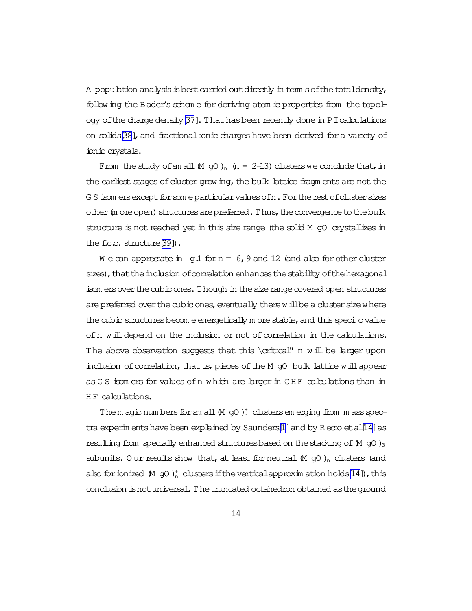A population analysis is best carried out directly in term sof the total density, following the Bader's schem e for deriving atom ic properties from the topol-ogy of the charge density [\[37](#page-22-0)]. That has been recently done in PIcalculations on solids[\[38\]](#page-22-0), and fractional ionic charges have been derived for a variety of ionic crystals.

From the study of sm all  $(M$  gO  $)$ <sub>n</sub> (n = 2-13) clusters we conclude that, in the earliest stages of cluster grow ing, the bulk lattice fragm ents are not the G S isom ers except for som e particular values of n. For the rest of cluster sizes other (m ore open) structures are preferred. Thus, the convergence to the bulk structure is not reached yet in this size range (the solid M gO crystallizes in the f.c.c. structure<sup>[\[39\]](#page-22-0)</sup>).

W e can appreciate in  $g.l$  for  $n = 6$ , 9 and 12 (and also for other cluster sizes), that the inclusion of correlation enhances the stability of the hexagonal isom ers over the cubic ones. Though in the size range covered open structures are preferred over the cubic ones, eventually there will be a cluster size where the cubic structures becom e energetically m ore stable, and this speci c value of n will depend on the inclusion or not of correlation in the calculations. The above observation suggests that this \critical" n will be larger upon inclusion of correlation, that is, pieces of the M  $qO$  bulk lattice will appear as G S isom ers for values ofn which are larger in CH F calculations than in HF calculations.

The m agic num bers for sm all  $(M$  gO  $)_{n}^{+}$  clusters em erging from m ass spec-tra experim ents have been explained by Saunders[\[1](#page-19-0)] and by R ecio et al[\[14\]](#page-20-0) as resulting from specially enhanced structures based on the stacking of  $(M$  gO  $)_3$ subunits. Our results show that, at least for neutral  $(M$  gO )<sub>n</sub> clusters (and also for ionized  $(M$  gO  $)_{n}^{+}$  clusters if the vertical approximation holds [\[14\]](#page-20-0)), this conclusion isnotuniversal.Thetruncated octahedron obtained astheground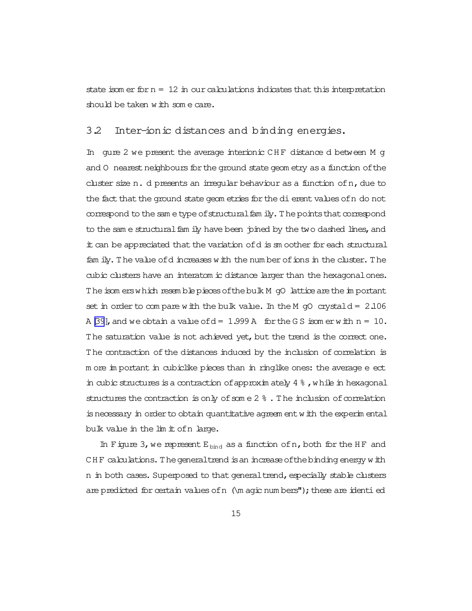state isom er for  $n = 12$  in our calculations indicates that this interpretation should be taken with some care.

#### 3.2 Inter-ionic distances and binding energies.

In gure 2 we present the average interionic CHF distance d between M g and 0 nearest neighbours for the ground state geom etry as a function of the cluster size  $n$ . d presents an irregular behaviour as a function of  $n$ , due to the fact that the ground state geom etries for the dierent values of n do not correspond to the same type of structural family. The points that correspond to the sam e structural fam ily have been pined by the two dashed lines, and it can be appreciated that the variation of d is sm oother for each structural fam ily. The value of dincreases with the num ber of ions in the cluster. The cubic clusters have an interatom ic distance larger than the hexagonalones. The isom erswhich resemble pieces of the bulk M gO lattice are the important set in order to compare with the bulk value. In the M  $qO$  crystald =  $2.106$ A [\[39](#page-22-0)], and we obtain a value of  $d = 1.999$  A for the G S isom erwith  $n = 10$ . The saturation value is not achieved yet, but the trend is the correct one. The contraction of the distances induced by the inclusion of correlation is m ore im portant in cubiclike pieces than in ringlike ones: the average e ect in cubic structures is a contraction of approximately  $4\frac{8}{3}$ , while in hexagonal structures the contraction is only of some  $2\,$  %. The inclusion of correlation is necessary in order to obtain quantitative agreem entwith the experim ental bulk value in the lim it of n large.

In Figure 3, we represent  $E_{bind}$  as a function of n, both for the HF and CHF calculations. The general trend is an increase of the binding energy with n in both cases. Superposed to that general trend, especially stable clusters are predicted for certain values of  $n \ (\mu$  agic num bers"); these are identied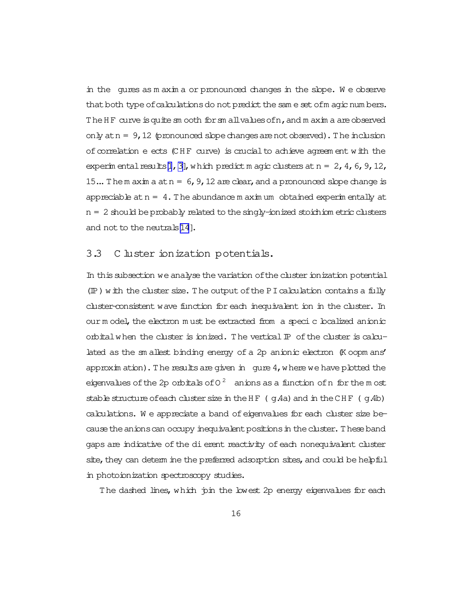in the qures as m axim a or pronounced changes in the slope. We observe that both type of calculations do not predict the same set ofm agic num bers. The HF curve is quite sm ooth for sm allvalues of n, and m axim a are observed only at  $n = 9$ , 12 (pronounced slope changes are not observed). The inclusion of correlation eects (CHF curve) is crucial to achieve agreem ent with the experim ental results[\[1](#page-19-0), [3\]](#page-19-0), which predict m agic clusters at  $n = 2, 4, 6, 9, 12$ , 15... The m axim a at  $n = 6$ , 9, 12 are clear, and a pronounced slope change is appreciable at  $n = 4$ . The abundance m aximum obtained experimentally at  $n = 2$  should be probably related to the singly-ionized stoichiom etric clusters and not to the neutrals $[14]$  $[14]$ .

#### 3.3 C luster ionization potentials.

In this subsection we analyse the variation of the cluster ionization potential  $(\mathbb{P})$  with the cluster size. The output of the PI calculation contains a fully cluster-consistent wave function for each inequivalent ion in the cluster. In our m odel, the electron must be extracted from a specic boalized anionic orbital when the cluster is ionized. The vertical  $\mathbb P$  of the cluster is calculated as the sm allest binding energy of a 2p anionic electron (K oopm ans' approxim ation). The results are given in qure  $4$ , where we have plotted the eigenvalues of the 2p orbitals of 0  $^2$  anions as a function of n for the m ost stable structure of each cluster size in the HF  $(qAa)$  and in the CHF  $(qAb)$ calculations. W e appreciate a band ofeigenvalues for each cluster size because the anions can occupy inequivalent positions in the cluster. These band gaps are indicative of the dierent reactivity of each nonequivalent cluster site, they can determ ine the preferred adsorption sites, and could be helpful in photoionization spectroscopy studies.

The dashed lines, which join the lowest 2p energy eigenvalues for each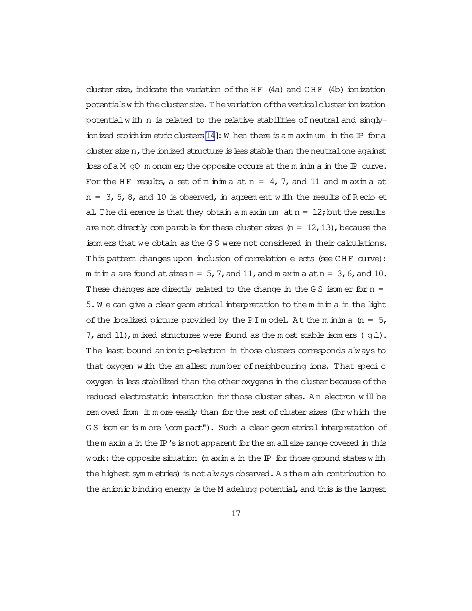cluster size, indicate the variation of the HF  $(4a)$  and CHF  $(4b)$  ionization potentialswith theclustersize.Thevariation oftheverticalclusterionization potential with  $n$  is related to the relative stabilities of neutral and singlyionized stoichiom etric clusters  $[14]$ : W hen there is a m axim um in the  $\mathbb P$  for a cluster sizen, the ionized structure is less stable than the neutral one against  $\Delta$ loss of a M gO m onom er; the opposite occurs at the m inim a in the IP curve. For the HF results, a set of m inim a at  $n = 4$ , 7, and 11 and m axim a at  $n = 3, 5, 8$ , and 10 is observed, in agreem ent with the results of Recio et al. The dierence is that they obtain a m axim um  $at n = 12$ ; but the results are not directly com parable for these cluster sizes  $(n = 12, 13)$ , because the isom ers that we obtain as the G S were not considered in their calculations. This pattern changes upon inclusion of correlation e ects (see CHF curve): m in in a are found at sizes  $n = 5$ , 7, and 11, and m axim a at  $n = 3$ , 6, and 10. These changes are directly related to the change in the G S isom er for  $n =$ 5.W e can give a cleargeom etricalinterpretation to the m inim a in the light of the localized picture provided by the PI m odel. At the m inim a  $(n = 5,$ 7, and 11), m ixed structures were found as the m ost stable isom ers ( $q.1$ ). The least bound anionic p-electron in those clusters corresponds always to that oxygen with the sm allest number of neighbouring ions. That specic oxygen is less stabilized than the other oxygens in the cluster because of the reduced electrostatic interaction for those cluster sites. A n electron willbe rem oved from it m ore easily than for the rest of cluster sizes (for which the G S isom er is m ore \com pact"). Such a clear geom etrical interpretation of them axim a in the  $\mathbb{P}'$ s is not apparent for the sm all size range covered in this work: the opposite situation  $(m \nightharpoonup m \nightharpoonup n)$  for those ground states with the highest sym m etries) is not always observed. A s the m ain contribution to the anionic binding energy is the M adelung potential, and this is the largest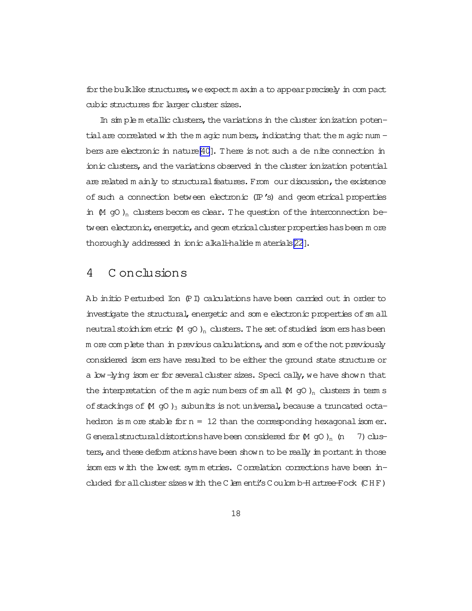forthebulklike structures,weexpectm axim a to appearprecisely in com pact cubic structures for larger cluster sizes.

In sim ple m etallic clusters, the variations in the cluster ionization potentialare correlated with the m agic num bers, indicating that the m agic num  $$ bers are electronic in nature  $[40]$ . There is not such a de nite connection in ionic clusters, and the variations observed in the cluster ionization potential are related m ainly to structural features. From our discussion, the existence of such a connection between electronic (IP's) and geom etrical properties in  $(M$  gO)<sub>n</sub> clusters becomes clear. The question of the interconnection between electronic, energetic, and geom etrical cluster properties has been m ore thoroughly addressed in ionic alkali-halide m aterials[\[22](#page-21-0)].

## 4 C onclusions

Ab initio Perturbed Ion (PI) calculations have been carried out in order to investigate the structural, energetic and som e electronic properties of sm all neutralstoichiom etric  $(M gO)_n$  clusters. The set of studied isom ers has been m ore com plete than in previous calculations, and some of the not previously considered isom ers have resulted to be either the ground state structure or a low-lying isom er for several cluster sizes. Speci cally, we have shown that the interpretation of the m agic num bers of sm all  $(M$  gO  $)$ <sub>n</sub> clusters in term s of stackings of  $(M$  gO  $)_3$  subunits is not universal, because a truncated octahedron is m ore stable for  $n = 12$  than the corresponding hexagonalisom er. G eneralstructuraldistortions have been considered for  $(M$  gO  $)$ <sub>n</sub> (n 7) clusters, and these deform ations have been shown to be really im portant in those isom ers with the lowest sym m etries. Correlation corrections have been included for all cluster sizes with the Clem enti's Coulom b-H artree-Fock (CHF)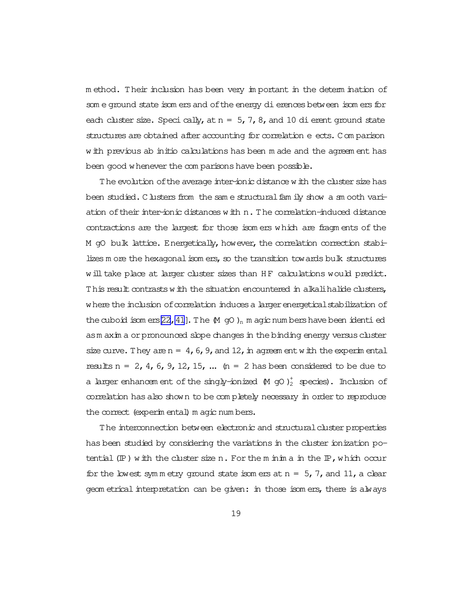m ethod. Their inclusion has been very im portant in the determ ination of som e ground state isom ers and of the energy dierences between isom ers for each cluster size. Speci cally, at  $n = 5, 7, 8$ , and 10 dierent ground state structures are obtained after accounting for correlation e ects. Comparison with previous ab initio calculations has been m ade and the agreem ent has been good whenever the com parisons have been possible.

The evolution of the average inter-ionic distance with the cluster size has been studied. Clusters from the same structural family show a sm ooth variation of their inter-ionic distances with n. The correlation-induced distance contractions are the largest for those isom ers which are fragm ents of the M gO bulk lattice. Energetically, however, the correlation correction stabilizes m ore the hexagonal isom ers, so the transition towards bulk structures will take place at larger cluster sizes than HF calculations would predict. This result contrasts with the situation encountered in alkalihalide clusters, where the inclusion of correlation induces a larger energetical stabilization of the cuboid isom ers [\[22](#page-21-0)[,41](#page-22-0)]. The  $(M$  gO )<sub>n</sub> m agic num bers have been identi ed asm axim a orpronounced slope changes in the binding energy versus cluster size curve. They are  $n = 4$ , 6, 9, and 12, in agreem entwith the experimental results  $n = 2$ , 4, 6, 9, 12, 15, ...  $(n = 2$  has been considered to be due to a larger enhancem ent of the singly-ionized  $(M$  gO  $)^+_2$  species). Inclusion of correlation hasalso shown to be com pletely necessary in orderto reproduce the correct (experim ental) m agic num bers.

The interconnection between electronic and structural cluster properties has been studied by considering the variations in the cluster ionization potential  $(\mathbb{P})$  with the cluster size n. For the m inim a in the  $\mathbb{P}$ , which occur for the lowest symmetry ground state isomers at  $n = 5, 7$ , and 11, a clear geom etrical interpretation can be given: in those isom ers, there is always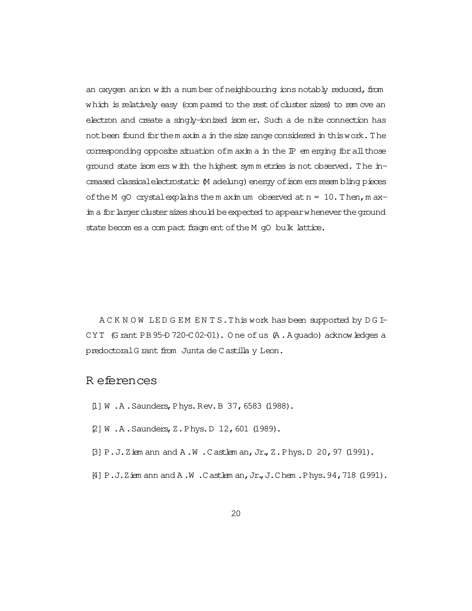<span id="page-19-0"></span>an oxygen anion with a num ber of neighbouring ions notably reduced, from which is relatively easy (com pared to the rest of cluster sizes) to rem ove an electron and create a singly-ionized isom er. Such a denite connection has not been found for them axim a in the size range considered in this work. The corresponding opposite situation of m axim a in the  $IP$  em erging for all those ground state isom ers with the highest sym m etries is not observed. The increased classical electrostatic (M adelung) energy of isom ers resem bling pieces of the M gO crystalexplains the m aximum observed at  $n = 10$ . Then, m axim a for larger cluster sizes should be expected to appear whenever the ground state becom es a com pact fragm ent of the M gO bulk lattice.

A C K N O W LED G EM ENTS. This work has been supported by D G I-CYT (G rant PB  $95-D$  720-C 02-01). O ne of us  $(A \cdot A \text{ quad})$  acknowledges a predoctoralG rant from Junta de Castilla y Leon.

### R eferences

- [1] W .A. Saunders, Phys. Rev. B 37, 6583 (1988).
- [2] W .A. Saunders, Z. Phys. D 12, 601 (1989).
- [3] P.J.Ziem ann and A .W .Castlem an,Jr.,Z.Phys.D 20,97 (1991).
- [4] P.J.Ziem ann and A .W .Castlem an,Jr.,J.Chem .Phys.94,718 (1991).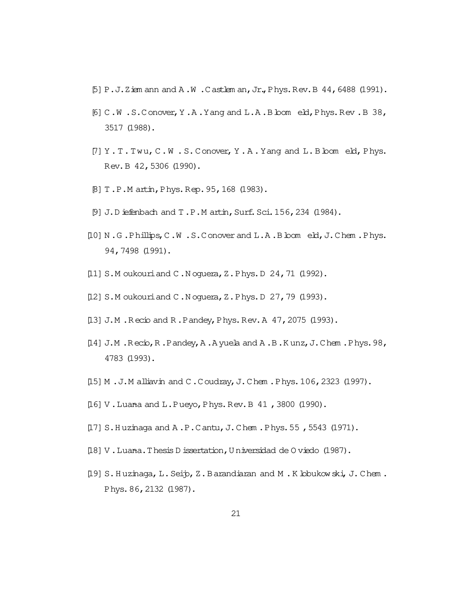- <span id="page-20-0"></span> $[5]$  P.J.Ziem ann and A .W .Castlem an, Jr., Phys.Rev. B 44, 6488 (1991).
- $[6]$  C.W.S.Conover, Y.A. Yang and L.A. B bom eld, Phys. Rev. B 38, 3517 (1988).
- $[7] Y . T . T w u, C.W . S. Conver, Y . A. Yang and L.B.$ Rev.B 42,5306 (1990).
- [8] T.P.M artin,Phys.Rep.95,168 (1983).
- [9] J.D iefenbach and T.P.M artin, Surf. Sci. 156, 234 (1984).
- [10] N.G.Phillips, C.W.S.Conover and L.A.Bloom eld, J.Chem.Phys. 94,7498 (1991).
- [11] S.M oukouriand C.N oquera, Z.Phys.D 24, 71 (1992).
- [12] S.M oukouriand C.N oquera, Z.Phys.D 27, 79 (1993).
- [13] J.M. Recio and R. Pandey, Phys. Rev. A 47, 2075 (1993).
- [14] J.M .R ecio,R .Pandey,A .A yuela and A .B.K unz,J.Chem .Phys.98, 4783 (1993).
- [15] M.J.M alliavin and C.Coudray, J.Chem.Phys.106, 2323 (1997).
- $[16]$  V. Luana and L. Pueyo, Phys. Rev. B 41, 3800 (1990).
- [17] S.Huzinaga and A.P.Cantu, J.Chem.Phys.55, 5543 (1971).
- [18] V.Luana.Thesis D issertation, U niversidad de O viedo (1987).
- [19] S.Huzinaga, L.Seip, Z.Barandiaran and M.K lobukowski, J.Chem. Phys.86,2132 (1987).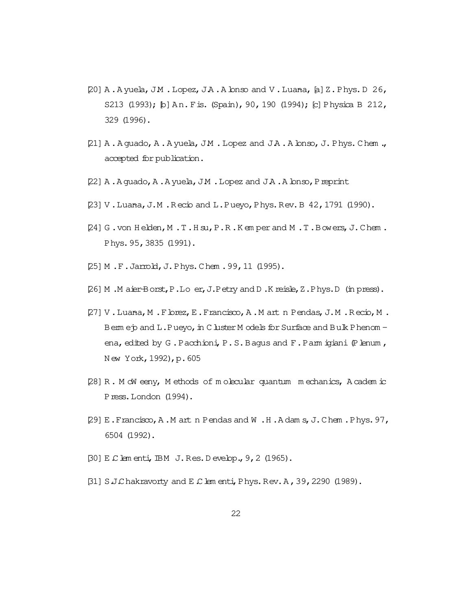- <span id="page-21-0"></span> $[20]$  A. A yuela, JM . Lopez, JA. A lonso and V. Luana,  $[a]$  Z. Phys. D 26, S213 (1993); [b] An. Fis. (Spain), 90, 190 (1994); [c] Physica B 212, 329 (1996).
- [21] A. A guado, A. A yuela, J.M . Lopez and J.A. A lonso, J. Phys. Chem., accepted for publication.
- [22] A.A guado, A.A yuela, J.M. Lopez and J.A.A lonso, Preprint
- [23] V.Luana, J.M.R ecio and L.Pueyo, Phys.Rev.B 42, 1791 (1990).
- [24] G .von H elden,M .T.H su,P.R .K em per and M .T.Bowers,J.Chem . Phys.95,3835 (1991).
- [25] M .F.Jarrold,J.Phys.Chem .99,11 (1995).
- [26] M .M aier-Borst,P.Loer,J.Petry and D .K reisle,Z.Phys.D (in press).
- [27] V.Luana, M.Florez, E.Francisco, A.M art n Pendas, J.M.R ecio, M. Berm ep and L.Pueyo, in C luster M odels for Surface and Bulk Phenom ena, edited by G.Pacchioni, P.S.Bagus and F.Parm igiani (Plenum, N ew York,1992),p.605
- [28] R . M cW eeny, M ethods of m olecular quantum m echanics, A cadem ic Press.London (1994).
- [29] E.Francisco,A .M artn Pendas and W .H .A dam s,J.Chem .Phys.97, 6504 (1992).
- [30] E.Clem enti,IBM J.Res.D evelop.,9,2 (1965).
- [31] S.J.Chakravorty and E.Clem enti,Phys.Rev.A,39,2290 (1989).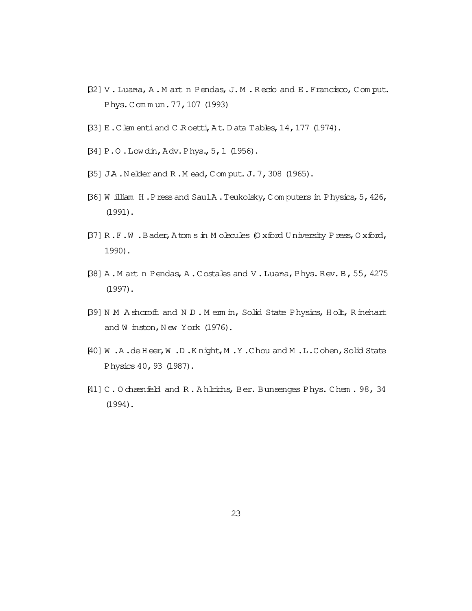- <span id="page-22-0"></span>[32] V. Luana, A. M art n Pendas, J. M. R ecio and E. Francisco, Com put. Phys.Com m un.77,107 (1993)
- [33] E.Clem entiand C.R oetti,At.D ata Tables,14,177 (1974).
- [34] P.O .Lowdin,Adv.Phys.,5,1 (1956).
- [35] J.A. Nelder and R.M ead, Com put. J. 7, 308 (1965).
- [36] W illiam H .Pressand SaulA .Teukolsky,Com puters in Physics,5,426, (1991).
- [37] R .F.W .Bader,Atom s in M olecules(O xford U niversity Press,O xford, 1990).
- [38] A.M artn Pendas, A.Costales and V.Luana, Phys.Rev.B, 55, 4275 (1997).
- [39] N M A shcroft and N D . M erm in, Solid State Physics, Holt, R inehart and W inston, New York (1976).
- [40] W .A .deH eer,W .D .K night,M .Y .Chou and M .L.Cohen,Solid State Physics40,93 (1987).
- [41] C. O chsenfeld and R. A hlrichs, Ber. Bunsenges Phys. Chem. 98, 34 (1994).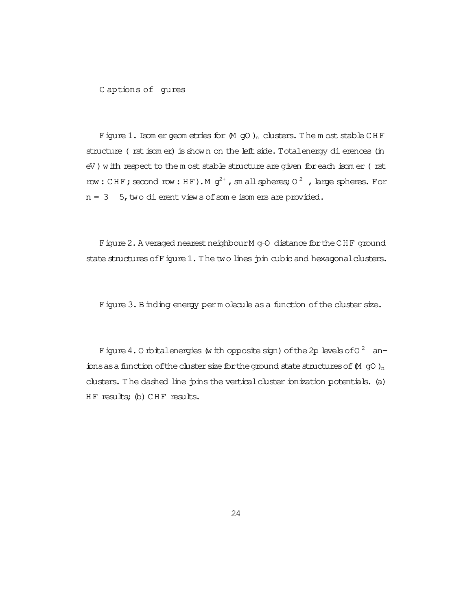C aptions of gures

Figure 1. Isom er geom etries for  $(M$  gO  $)_n$  clusters. The m ost stable CHF structure (rst isom er) is shown on the left side. Total energy dierences (in eV) with respect to the m ost stable structure are given for each isom er (rst row: CHF; second row: HF). M  $g^{2+}$ , sm all spheres; O  $^2$  , large spheres. For  $n = 3$  5, two dierent views of some isomers are provided.

Figure 2. A veraged nearest neighbour M g-O distance for the CH F ground state structures of Figure 1. The two lines pin cubic and hexagonal clusters.

Figure 3. Binding energy perm olecule as a function of the cluster size.

Figure 4.0 rbitalenergies (with opposite sign) of the 2p levels of 0  $^2$  an– ions as a function of the cluster size for the ground state structures of  $(M \nI qO)_n$ clusters. The dashed line joins the vertical cluster ionization potentials. (a) HF results; (b) CHF results.

24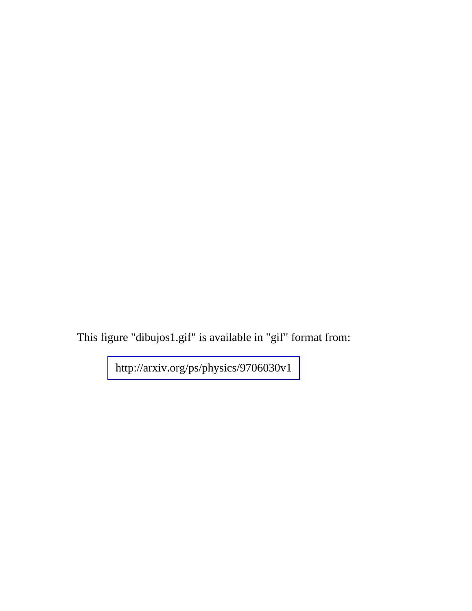This figure "dibujos1.gif" is available in "gif" format from: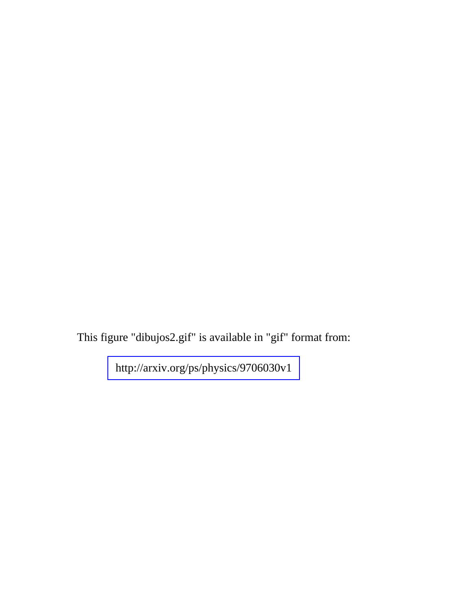This figure "dibujos2.gif" is available in "gif" format from: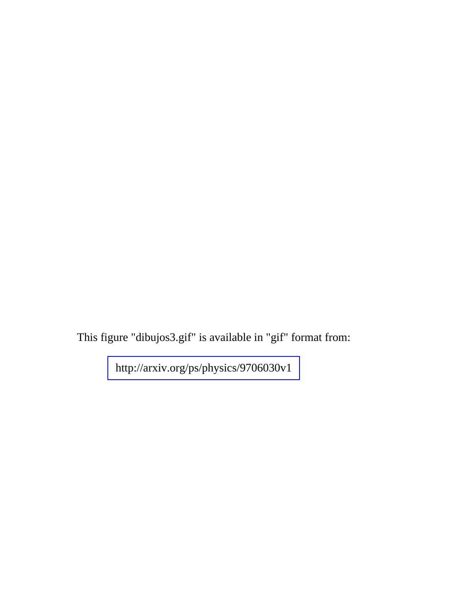This figure "dibujos3.gif" is available in "gif" format from: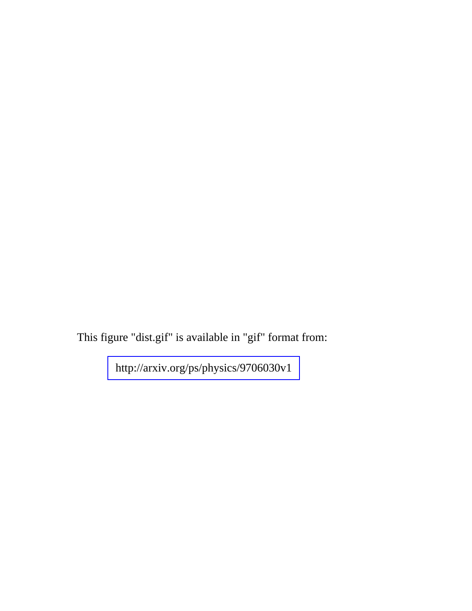This figure "dist.gif" is available in "gif" format from: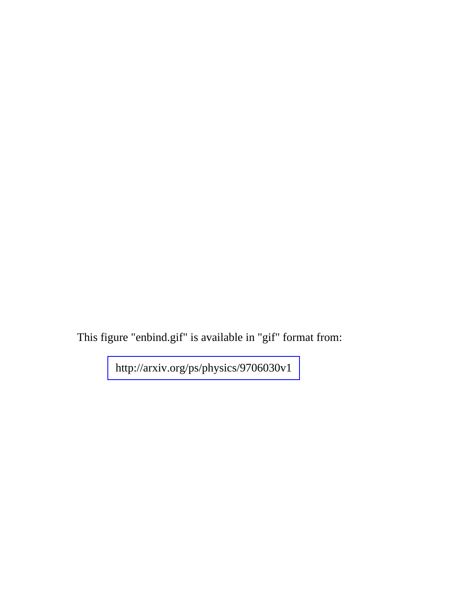This figure "enbind.gif" is available in "gif" format from: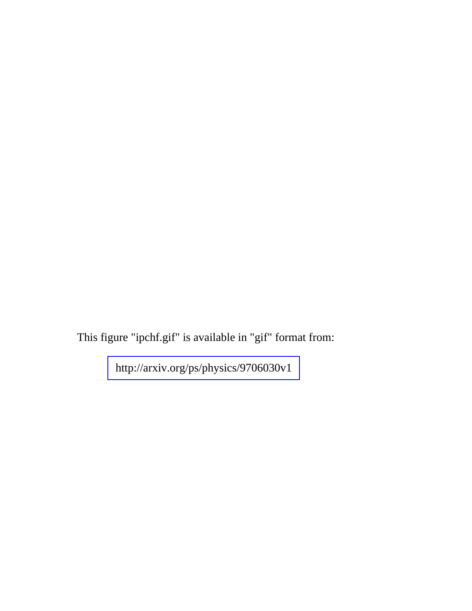This figure "ipchf.gif" is available in "gif" format from: